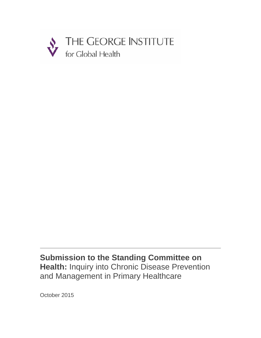

**Submission to the Standing Committee on Health:** Inquiry into Chronic Disease Prevention and Management in Primary Healthcare

October 2015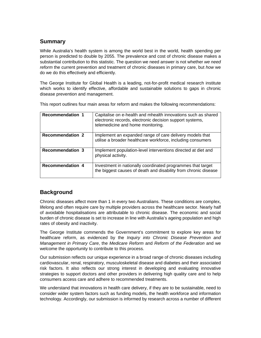# **Summary**

While Australia's health system is among the world best in the world, health spending per person is predicted to double by 2055. The prevalence and cost of chronic disease makes a substantial contribution to this statistic. The question we need answer is not whether *we need reform* the current prevention and treatment of chronic diseases in primary care, but *how* we do we do this effectively and efficiently.

The George Institute for Global Health is a leading, not-for-profit medical research institute which works to identify effective, affordable and sustainable solutions to gaps in chronic disease prevention and management.

This report outlines four main areas for reform and makes the following recommendations:

| <b>Recommendation 1</b> | Capitalise on e-health and mhealth innovations such as shared<br>electronic records, electronic decision support systems,<br>telemedicine and home monitoring. |
|-------------------------|----------------------------------------------------------------------------------------------------------------------------------------------------------------|
| <b>Recommendation 2</b> | Implement an expanded range of care delivery models that<br>utilise a broader healthcare workforce, including consumers                                        |
| <b>Recommendation 3</b> | Implement population-level interventions directed at diet and<br>physical activity.                                                                            |
| <b>Recommendation 4</b> | Investment in nationally coordinated programmes that target<br>the biggest causes of death and disability from chronic disease                                 |

# **Background**

Chronic diseases affect more than 1 in every two Australians. These conditions are complex, lifelong and often require care by multiple providers across the healthcare sector. Nearly half of avoidable hospitalisations are attributable to chronic disease. The economic and social burden of chronic disease is set to increase in line with Australia's ageing population and high rates of obesity and inactivity.

The George Institute commends the Government's commitment to explore key areas for healthcare reform, as evidenced by the *Inquiry into Chronic Disease Prevention and Management in Primary Care*, the *Medicare Reform* and *Reform of the Federation* and we welcome the opportunity to contribute to this process.

Our submission reflects our unique experience in a broad range of chronic diseases including cardiovascular, renal, respiratory, musculoskeletal disease and diabetes and their associated risk factors. It also reflects our strong interest in developing and evaluating innovative strategies to support doctors and other providers in delivering high quality care and to help consumers access care and adhere to recommended treatments.

We understand that innovations in health care delivery, if they are to be sustainable, need to consider wider system factors such as funding models, the health workforce and information technology. Accordingly, our submission is informed by research across a number of different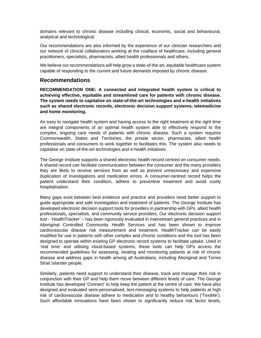domains relevant to chronic disease including clinical, economic, social and behavioural, analytical and technological.

Our recommendations are also informed by the experience of our clinician researchers and our network of clinical collaborators working at the coalface of healthcare, including general practitioners, specialists, pharmacists, allied health professionals and others.

We believe our recommendations will help grow a state-of-the art, equitable healthcare system capable of responding to the current and future demands imposed by chronic disease.

## **Recommendations**

**RECOMMENDATION ONE: A connected and integrated health system is critical to achieving effective, equitable and streamlined care for patients with chronic disease. The system needs to capitalise on state-of-the-art technologies and e-health initiatives such as shared electronic records, electronic decision support systems, telemedicine and home monitoring.** 

An easy to navigate health system and having access to the right treatment at the right time are integral components of an optimal health system able to effectively respond to the complex, ongoing care needs of patients with chronic disease. Such a system requires Commonwealth, States and Territories, the private sector, pharmacies, allied health professionals and consumers to work together to facilitates this. The system also needs to capitalise on state-of-the-art technologies and e-health initiatives.

The George Institute supports a shared electronic health record centred on consumer needs. A shared record can facilitate communication between the consumer and the many providers they are likely to receive services from as well as prevent unnecessary and expensive duplication of investigations and medication errors. A consumer-centred record helps the patient understand their condition, adhere to preventive treatment and avoid costly hospitalisation.

Many gaps exist between best evidence and practice and providers need better support to guide appropriate and safe investigation and treatment of patients. The George Institute has developed electronic decision support tools for providers in partnership with GPs, allied health professionals, specialists, and community service providers. Our electronic decision support tool - 'HealthTracker' – has been rigorously evaluated in mainstream general practices and in Aboriginal Controlled Community Health Services and has been shown to improve cardiovascular disease risk measurement and treatment. HealthTracker can be easily modified for use in patients with other complex and chronic conditions and the tool has been designed to operate within existing GP electronic record systems to facilitate uptake. Used in 'real time' and utilising cloud-based systems, these tools can help GPs access the recommended guidelines for assessing, treating and monitoring patients at risk of chronic disease and address gaps in health among all Australians, including Aboriginal and Torres Strait Islander people.

Similarly, patients need support to understand their disease, track and manage their risk in conjunction with their GP and help them move between different levels of care. The George Institute has developed 'Connect' to help keep the patient at the centre of care. We have also designed and evaluated semi-personalised, text-messaging systems to help patients at high risk of cardiovascular disease adhere to medication and to healthy behaviours ('TextMe'). Such affordable innovations have been shown to significantly reduce risk factor levels,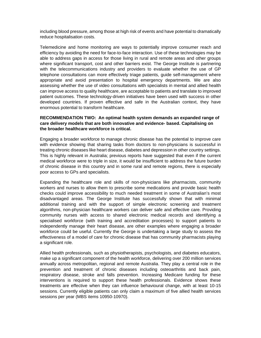including blood pressure, among those at high risk of events and have potential to dramatically reduce hospitalisation costs.

Telemedicine and home monitoring are ways to potentially improve consumer reach and efficiency by avoiding the need for face-to-face interaction. Use of these technologies may be able to address gaps in access for those living in rural and remote areas and other groups where significant transport, cost and other barriers exist. The George Institute is partnering with the telecommunications industry and providers to evaluate whether the use of GP telephone consultations can more effectively triage patients, guide self-management where appropriate and avoid presentation to hospital emergency departments. We are also assessing whether the use of video consultations with specialists in mental and allied health can improve access to quality healthcare, are acceptable to patients and translate to improved patient outcomes. These technology-driven initiatives have been used with success in other developed countries. If proven effective and safe in the Australian context, they have enormous potential to transform healthcare.

#### **RECOMMENDATION TWO: An optimal health system demands an expanded range of care delivery models that are both innovative and evidence- based. Capitalising on the broader healthcare workforce is critical.**

Engaging a broader workforce to manage chronic disease has the potential to improve care with evidence showing that sharing tasks from doctors to non-physicians is successful in treating chronic diseases like heart disease, diabetes and depression in other country settings. This is highly relevant in Australia; previous reports have suggested that even if the current medical workforce were to triple in size, it would be insufficient to address the future burden of chronic disease in this country and in some rural and remote regions, there is especially poor access to GPs and specialists.

Expanding the healthcare role and skills of non-physicians like pharmacists, community workers and nurses to allow them to prescribe some medications and provide basic health checks could improve accessibility to much needed treatment in some of Australian's most disadvantaged areas. The George Institute has successfully shown that with minimal additional training and with the support of simple electronic screening and treatment algorithms, non-physician healthcare workers can deliver safe and effective care. Providing community nurses with access to shared electronic medical records and identifying a specialised workforce (with training and accreditation processes) to support patients to independently manage their heart disease, are other examples where engaging a broader workforce could be useful. Currently the George is undertaking a large study to assess the effectiveness of a model of care for chronic disease that has community pharmacists playing a significant role.

Allied health professionals, such as physiotherapists, psychologists, and diabetes educators, make up a significant component of the health workforce, delivering over 200 million services annually across metropolitan, regional and remote Australia. They play a central role in the prevention and treatment of chronic diseases including osteoarthritis and back pain, respiratory disease, stroke and falls prevention. Increasing Medicare funding for these interventions is required to support these health professionals. Evidence shows these treatments are effective when they can influence behavioural change, with at least 10-15 sessions. Currently eligible patients can only claim a maximum of five allied health services sessions per year (MBS items 10950-10970).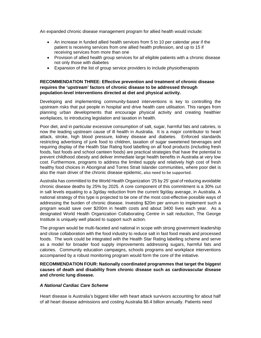An expanded chronic disease management program for allied health would include:

- An increase in funded allied health services from 5 to 10 per calendar year if the patient is receiving services from one allied health profession, and up to 15 if receiving services from more than one
- Provision of allied health group services for *all* eligible patients with a chronic disease not only those with diabetes
- Expansion of the list of group service providers to include physiotherapists

### **RECOMMENDATION THREE: Effective prevention and treatment of chronic disease requires the 'upstream' factors of chronic disease to be addressed through population-level interventions directed at diet and physical activity.**

Developing and implementing community-based interventions is key to controlling the upstream risks that put people in hospital and drive health care utilisation. This ranges from planning urban developments that encourage physical activity and creating healthier workplaces, to introducing legislation and taxation in health.

Poor diet, and in particular excessive consumption of salt, sugar, harmful fats and calories, is now the leading upstream cause of ill health in Australia. It is a major contributor to heart attack, stroke, high blood pressure, kidney disease and diabetes. Enforced standards restricting advertising of junk food to children, taxation of sugar sweetened beverages and requiring display of the Health Star Rating food labelling on all food products (including fresh foods, fast foods and school canteen foods) are practical strategies that have the potential to prevent childhood obesity and deliver immediate large health benefits in Australia at very low cost. Furthermore, programs to address the limited supply and relatively high cost of fresh healthy food choices in Aboriginal and Torres Strait Islander communities, where poor diet is also the main driver of the chronic disease epidemic, also need to be supported.

Australia has committed to the World Health Organization '25 by 25' goal of reducing avoidable chronic disease deaths by 25% by 2025. A core component of this commitment is a 30% cut in salt levels equating to a 3g/day reduction from the current 9g/day average, in Australia. A national strategy of this type is projected to be one of the most cost-effective possible ways of addressing the burden of chronic disease. Investing \$20m per annum to implement such a program would save over \$200m in health costs and about 3400 lives each year. As a designated World Health Organization Collaborating Centre in salt reduction, The George Institute is uniquely well placed to support such action.

The program would be multi-faceted and national in scope with strong government leadership and close collaboration with the food industry to reduce salt in fast food meals and processed foods. The work could be integrated with the Health Star Rating labelling scheme and serve as a model for broader food supply improvements addressing sugars, harmful fats and calories. Community education campaigns, schools programs and workplace interventions accompanied by a robust monitoring program would form the core of the initiative.

### **RECOMMENDATION FOUR: Nationally coordinated programmes that target the biggest causes of death and disability from chronic disease such as cardiovascular disease and chronic lung disease.**

#### *A National Cardiac Care Scheme*

Heart disease is Australia's biggest killer with heart attack survivors accounting for about half of all heart disease admissions and costing Australia \$8.4 billion annually. Patients need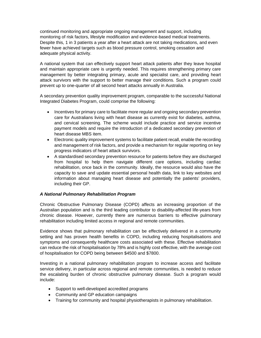continued monitoring and appropriate ongoing management and support, including monitoring of risk factors, lifestyle modification and evidence-based medical treatments. Despite this, 1 in 3 patients a year after a heart attack are not taking medications, and even fewer have achieved targets such as blood pressure control, smoking cessation and adequate physical activity.

A national system that can effectively support heart attack patients after they leave hospital and maintain appropriate care is urgently needed. This requires strengthening primary care management by better integrating primary, acute and specialist care, and providing heart attack survivors with the support to better manage their conditions. Such a program could prevent up to one-quarter of all second heart attacks annually in Australia.

A secondary prevention quality improvement program, comparable to the successful National Integrated Diabetes Program, could comprise the following:

- Incentives for primary care to facilitate more regular and ongoing secondary prevention care for Australians living with heart disease as currently exist for diabetes, asthma, and cervical screening. The scheme would include practice and service incentive payment models and require the introduction of a dedicated secondary prevention of heart disease MBS item.
- Electronic quality improvement systems to facilitate patient recall, enable the recording and management of risk factors, and provide a mechanism for regular reporting on key progress indicators of heart attack survivors.
- A standardised secondary prevention resource for patients before they are discharged from hospital to help them navigate different care options, including cardiac rehabilitation, once back in the community. Ideally, the resource would also have the capacity to save and update essential personal health data, link to key websites and information about managing heart disease and potentially the patients' providers, including their GP.

### *A National Pulmonary Rehabilitation Program*

Chronic Obstructive Pulmonary Disease (COPD) affects an increasing proportion of the Australian population and is the third leading contributor to disability-affected life-years from chronic disease. However, currently there are numerous barriers to effective pulmonary rehabilitation including limited access in regional and remote communities.

Evidence shows that pulmonary rehabilitation can be effectively delivered in a community setting and has proven health benefits in COPD, including reducing hospitalisations and symptoms and consequently healthcare costs associated with these. Effective rehabilitation can reduce the risk of hospitalisation by 78% and is highly cost effective, with the average cost of hospitalisation for COPD being between \$4500 and \$7800.

Investing in a national pulmonary rehabilitation program to increase access and facilitate service delivery, in particular across regional and remote communities, is needed to reduce the escalating burden of chronic obstructive pulmonary disease. Such a program would include:

- Support to well-developed accredited programs
- Community and GP education campaigns
- Training for community and hospital physiotherapists in pulmonary rehabilitation.